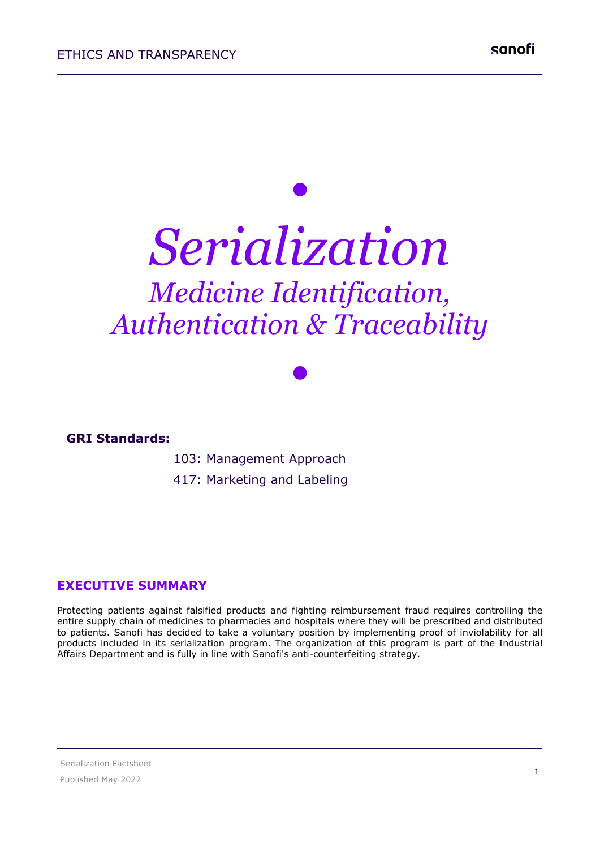# *• Serialization Medicine Identification, Authentication & Traceability*

*•*

**GRI Standards:**

103: Management Approach

417: Marketing and Labeling

#### **EXECUTIVE SUMMARY**

Protecting patients against falsified products and fighting reimbursement fraud requires controlling the entire supply chain of medicines to pharmacies and hospitals where they will be prescribed and distributed to patients. Sanofi has decided to take a voluntary position by implementing proof of inviolability for all products included in its serialization program. The organization of this program is part of the Industrial Affairs Department and is fully in line with Sanofi's anti-counterfeiting strategy.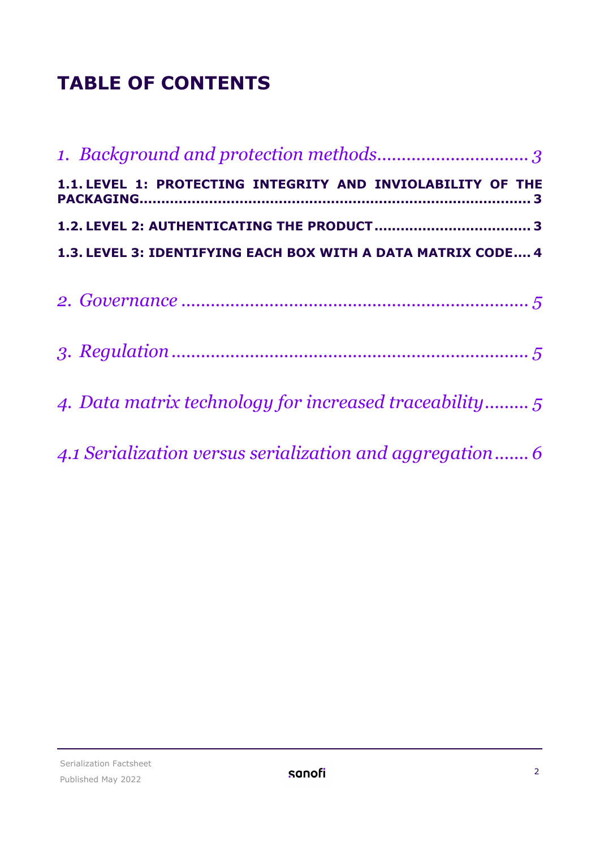## **TABLE OF CONTENTS**

| 1.1. LEVEL 1: PROTECTING INTEGRITY AND INVIOLABILITY OF THE  |
|--------------------------------------------------------------|
|                                                              |
| 1.3. LEVEL 3: IDENTIFYING EACH BOX WITH A DATA MATRIX CODE 4 |
|                                                              |
|                                                              |
|                                                              |
|                                                              |
|                                                              |
| 4. Data matrix technology for increased traceability         |
|                                                              |
| 4.1 Serialization versus serialization and aggregation6      |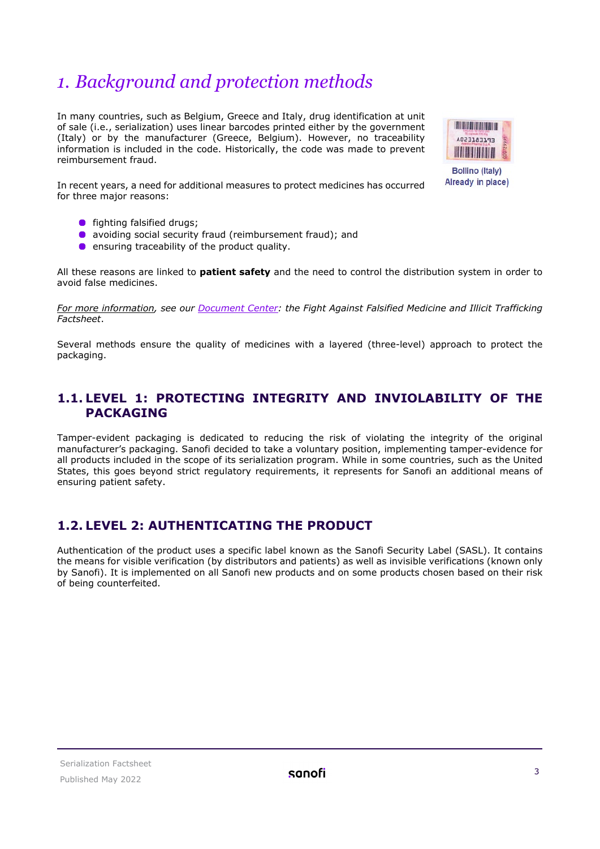## <span id="page-2-0"></span>*1. Background and protection methods*

In many countries, such as Belgium, Greece and Italy, drug identification at unit of sale (i.e., serialization) uses linear barcodes printed either by the government (Italy) or by the manufacturer (Greece, Belgium). However, no traceability information is included in the code. Historically, the code was made to prevent reimbursement fraud.



Already in place)

In recent years, a need for additional measures to protect medicines has occurred for three major reasons:

- **•** fighting falsified drugs;
- avoiding social security fraud (reimbursement fraud); and
- **e** ensuring traceability of the product quality.

All these reasons are linked to **patient safety** and the need to control the distribution system in order to avoid false medicines.

*For more information, see our [Document](https://www.sanofi.com/en/our-responsibility/documents-center/) Center: the Fight Against Falsified Medicine and Illicit Trafficking Factsheet*.

Several methods ensure the quality of medicines with a layered (three-level) approach to protect the packaging.

#### <span id="page-2-1"></span>**1.1. LEVEL 1: PROTECTING INTEGRITY AND INVIOLABILITY OF THE PACKAGING**

Tamper-evident packaging is dedicated to reducing the risk of violating the integrity of the original manufacturer's packaging. Sanofi decided to take a voluntary position, implementing tamper-evidence for all products included in the scope of its serialization program. While in some countries, such as the United States, this goes beyond strict regulatory requirements, it represents for Sanofi an additional means of ensuring patient safety.

#### <span id="page-2-2"></span>**1.2. LEVEL 2: AUTHENTICATING THE PRODUCT**

Authentication of the product uses a specific label known as the Sanofi Security Label (SASL). It contains the means for visible verification (by distributors and patients) as well as invisible verifications (known only by Sanofi). It is implemented on all Sanofi new products and on some products chosen based on their risk of being counterfeited.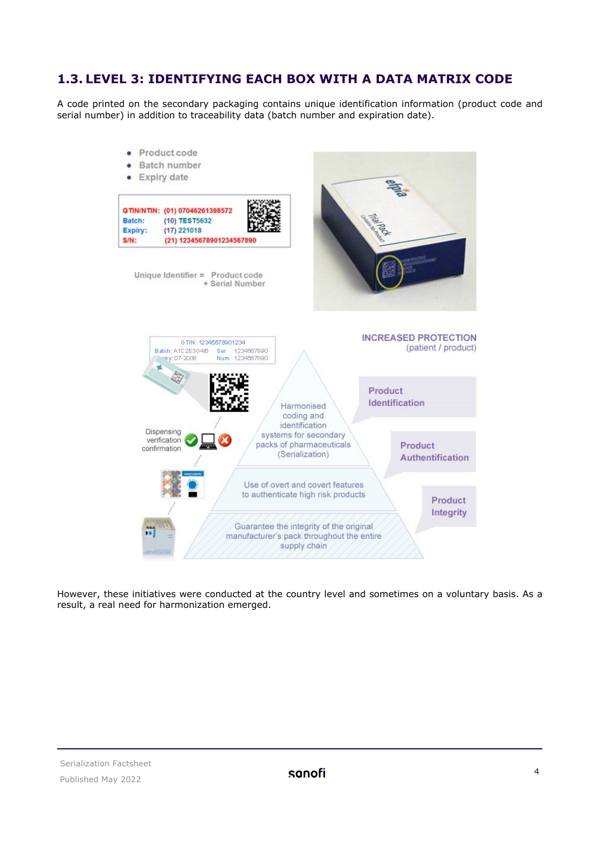#### <span id="page-3-0"></span>**1.3. LEVEL 3: IDENTIFYING EACH BOX WITH A DATA MATRIX CODE**

A code printed on the secondary packaging contains unique identification information (product code and serial number) in addition to traceability data (batch number and expiration date).



However, these initiatives were conducted at the country level and sometimes on a voluntary basis. As a result, a real need for harmonization emerged.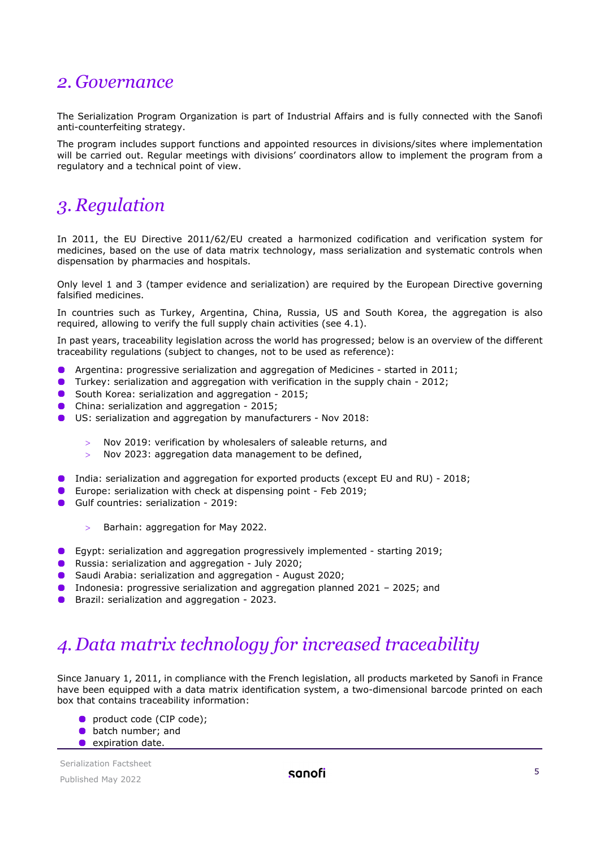### <span id="page-4-0"></span>*2. Governance*

The Serialization Program Organization is part of Industrial Affairs and is fully connected with the Sanofi anti-counterfeiting strategy.

The program includes support functions and appointed resources in divisions/sites where implementation will be carried out. Regular meetings with divisions' coordinators allow to implement the program from a regulatory and a technical point of view.

## <span id="page-4-1"></span>*3. Regulation*

In 2011, the EU Directive 2011/62/EU created a harmonized codification and verification system for medicines, based on the use of data matrix technology, mass serialization and systematic controls when dispensation by pharmacies and hospitals.

Only level 1 and 3 (tamper evidence and serialization) are required by the European Directive governing falsified medicines.

In countries such as Turkey, Argentina, China, Russia, US and South Korea, the aggregation is also required, allowing to verify the full supply chain activities (see 4.1).

In past years, traceability legislation across the world has progressed; below is an overview of the different traceability regulations (subject to changes, not to be used as reference):

- Argentina: progressive serialization and aggregation of Medicines started in 2011;
- Turkey: serialization and aggregation with verification in the supply chain 2012;
- **O** South Korea: serialization and aggregation 2015;
- **China: serialization and aggregation 2015;**
- US: serialization and aggregation by manufacturers Nov 2018:
	- > Nov 2019: verification by wholesalers of saleable returns, and
	- > Nov 2023: aggregation data management to be defined,
- **India: serialization and aggregation for exported products (except EU and RU) 2018;**
- **Europe: serialization with check at dispensing point Feb 2019;**
- Gulf countries: serialization 2019:
	- > Barhain: aggregation for May 2022.
- Egypt: serialization and aggregation progressively implemented starting 2019;
- **C** Russia: serialization and aggregation July 2020;
- Saudi Arabia: serialization and aggregation August 2020;
- **Indonesia: progressive serialization and aggregation planned 2021 2025; and**
- **Brazil: serialization and aggregation 2023.**

## <span id="page-4-2"></span>*4. Data matrix technology for increased traceability*

Since January 1, 2011, in compliance with the French legislation, all products marketed by Sanofi in France have been equipped with a data matrix identification system, a two-dimensional barcode printed on each box that contains traceability information:

- **O** product code (CIP code):
- **•** batch number; and
- **expiration date.**

Serialization Factsheet Published May 2022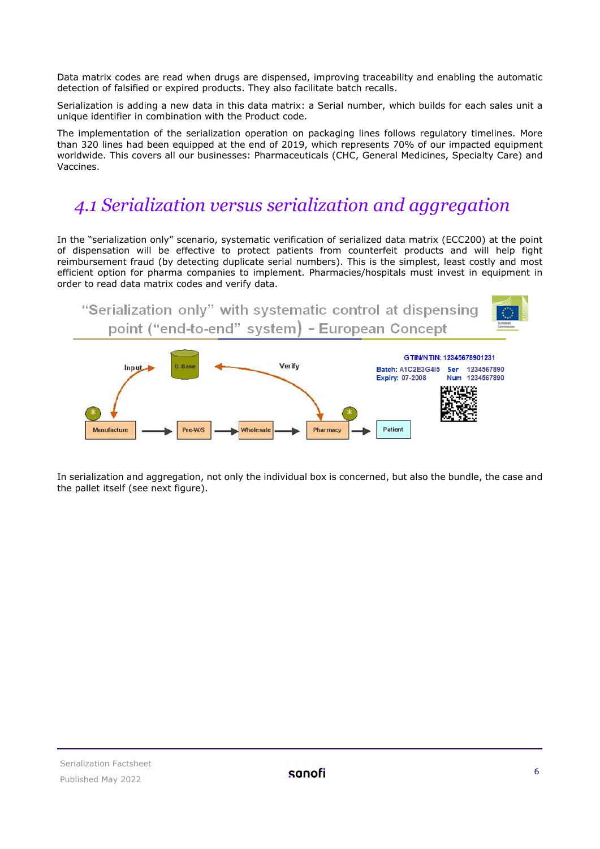Data matrix codes are read when drugs are dispensed, improving traceability and enabling the automatic detection of falsified or expired products. They also facilitate batch recalls.

Serialization is adding a new data in this data matrix: a Serial number, which builds for each sales unit a unique identifier in combination with the Product code.

The implementation of the serialization operation on packaging lines follows regulatory timelines. More than 320 lines had been equipped at the end of 2019, which represents 70% of our impacted equipment worldwide. This covers all our businesses: Pharmaceuticals (CHC, General Medicines, Specialty Care) and Vaccines.

## <span id="page-5-0"></span>*4.1 Serialization versus serialization and aggregation*

In the "serialization only" scenario, systematic verification of serialized data matrix (ECC200) at the point of dispensation will be effective to protect patients from counterfeit products and will help fight reimbursement fraud (by detecting duplicate serial numbers). This is the simplest, least costly and most efficient option for pharma companies to implement. Pharmacies/hospitals must invest in equipment in order to read data matrix codes and verify data.



In serialization and aggregation, not only the individual box is concerned, but also the bundle, the case and the pallet itself (see next figure).